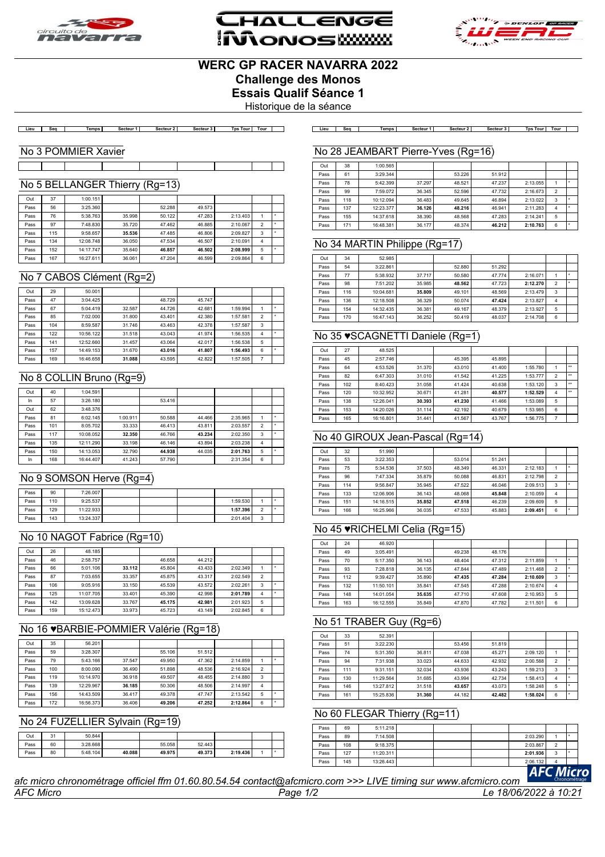





# **WERC GP RACER NAVARRA 2022 Challenge des Monos**

**Essais Qualif Séance 1**

Historique de la séance

.<br>| Lieu | Seq | Temps| Secteur1| Secteur2| Secteur3| TpsTour|Tour | | Lieu | Seq | Temps| Secteur1| Secteur2| Secteur3| TpsTour|Tour |

#### No 3 POMMIER Xavier

# No 5 BELLANGER Thierry (Rg=13)

| Out  | 37  | 1:00.151  |        |        |        |          |                |  |
|------|-----|-----------|--------|--------|--------|----------|----------------|--|
| Pass | 56  | 3:25.360  |        | 52.288 | 49.573 |          |                |  |
| Pass | 76  | 5:38.763  | 35,998 | 50.122 | 47.283 | 2:13.403 |                |  |
| Pass | 97  | 7:48.830  | 35.720 | 47.462 | 46.885 | 2:10.067 | $\mathfrak{p}$ |  |
| Pass | 115 | 9:58.657  | 35.536 | 47.485 | 46.806 | 2:09.827 | 3              |  |
| Pass | 134 | 12:08.748 | 36.050 | 47.534 | 46.507 | 2:10.091 | 4              |  |
| Pass | 152 | 14:17.747 | 35.640 | 46.857 | 46.502 | 2:08.999 | 5              |  |
| Pass | 167 | 16:27.611 | 36.061 | 47.204 | 46.599 | 2:09.864 | 6              |  |

# No 7 CABOS Clément (Rg=2)

| Out  | 29  | 50.001    |        |        |        |          |   |           |
|------|-----|-----------|--------|--------|--------|----------|---|-----------|
| Pass | 47  | 3:04.425  |        | 48.729 | 45.747 |          |   |           |
| Pass | 67  | 5:04.419  | 32.587 | 44.726 | 42.681 | 1:59.994 |   | ٠         |
| Pass | 85  | 7:02.000  | 31,800 | 43.401 | 42.380 | 1:57.581 | 2 | ٠         |
| Pass | 104 | 8:59.587  | 31.746 | 43.463 | 42.378 | 1:57.587 | 3 |           |
| Pass | 122 | 10:56.122 | 31.518 | 43.043 | 41.974 | 1:56.535 | 4 | $\ddot{}$ |
| Pass | 141 | 12:52.660 | 31.457 | 43.064 | 42.017 | 1:56.538 | 5 |           |
| Pass | 157 | 14:49.153 | 31,670 | 43.016 | 41.807 | 1:56.493 | 6 | ۰         |
| Pass | 169 | 16:46.658 | 31.088 | 43.595 | 42.822 | 1:57.505 | 7 |           |

# No 8 COLLIN Bruno (Rg=9)

| Out  | 40  | 1:04.591  |          |        |        |          |                |  |
|------|-----|-----------|----------|--------|--------|----------|----------------|--|
| In   | 57  | 3:26.180  |          | 53.416 |        |          |                |  |
| Out  | 62  | 3:48.376  |          |        |        |          |                |  |
| Pass | 81  | 6:02.145  | 1:00.911 | 50.588 | 44.466 | 2:35.965 |                |  |
| Pass | 101 | 8:05.702  | 33.333   | 46.413 | 43.811 | 2:03.557 | $\overline{2}$ |  |
| Pass | 117 | 10:08.052 | 32.350   | 46.766 | 43.234 | 2:02.350 | 3              |  |
| Pass | 135 | 12:11.290 | 33.198   | 46.146 | 43.894 | 2:03.238 | 4              |  |
| Pass | 150 | 14:13.053 | 32.790   | 44.938 | 44.035 | 2:01.763 | 5              |  |
| In   | 168 | 16:44.407 | 41.243   | 57.790 |        | 2:31.354 | 6              |  |

#### No 9 SOMSON Herve (Rg=4)

| Pass | 90  | 7:26.007  |  |          |            |  |
|------|-----|-----------|--|----------|------------|--|
| Pass | 110 | 9:25.537  |  | 1:59.530 |            |  |
| Pass | 129 | 11:22.933 |  | 1:57.396 |            |  |
| Pass | 143 | 13:24.337 |  | 2:01.404 | $\sim$<br> |  |

#### No 10 NAGOT Fabrice (Rg=10)

| Out  | 26  | 48.185    |        |        |        |          |                |   |
|------|-----|-----------|--------|--------|--------|----------|----------------|---|
| Pass | 46  | 2:58.757  |        | 46.658 | 44.212 |          |                |   |
| Pass | 66  | 5:01.106  | 33.112 | 45.804 | 43.433 | 2:02.349 |                | ٠ |
| Pass | 87  | 7:03.655  | 33.357 | 45.875 | 43.317 | 2:02.549 | $\overline{2}$ |   |
| Pass | 106 | 9:05.916  | 33.150 | 45.539 | 43.572 | 2:02.261 | 3              | ٠ |
| Pass | 125 | 11:07.705 | 33.401 | 45.390 | 42.998 | 2:01.789 | 4              | ٠ |
| Pass | 142 | 13:09.628 | 33.767 | 45.175 | 42.981 | 2:01.923 | 5              |   |
| Pass | 159 | 15:12.473 | 33.973 | 45.723 | 43.149 | 2:02.845 | 6              |   |

# No 16 ♥BARBIE-POMMIER Valérie (Rg=18)

| Out  | 35  | 56.201    |        |        |        |          |                |         |
|------|-----|-----------|--------|--------|--------|----------|----------------|---------|
| Pass | 59  | 3:28.307  |        | 55.106 | 51.512 |          |                |         |
| Pass | 79  | 5:43.166  | 37.547 | 49.950 | 47.362 | 2:14.859 |                | ٠       |
| Pass | 100 | 8:00.090  | 36.490 | 51.898 | 48.536 | 2:16.924 | $\mathfrak{p}$ |         |
| Pass | 119 | 10:14.970 | 36.918 | 49.507 | 48.455 | 2:14.880 | 3              |         |
| Pass | 139 | 12:29.967 | 36.185 | 50.306 | 48.506 | 2:14.997 | 4              |         |
| Pass | 156 | 14:43.509 | 36.417 | 49.378 | 47.747 | 2:13.542 | 5              | ٠       |
| Pass | 172 | 16:56.373 | 36,406 | 49.206 | 47.252 | 2:12.864 | 6              | $\star$ |

#### No 24 FUZELLIER Sylvain (Rg=19)

| Out  | 31 | 50.844   |        |        |        |          |  |
|------|----|----------|--------|--------|--------|----------|--|
| Pass | 60 | 3:28.668 |        | 55.058 | 52.443 |          |  |
| Pass | 80 | 5:48.104 | 40.088 | 49.975 | 49.373 | 2:19.436 |  |
|      |    |          |        |        |        |          |  |

#### No 28 JEAMBART Pierre-Yves (Rg=16)

| Out  | 38  | 1:00.565  |        |        |        |          |                |   |
|------|-----|-----------|--------|--------|--------|----------|----------------|---|
| Pass | 61  | 3:29.344  |        | 53.226 | 51.912 |          |                |   |
| Pass | 78  | 5:42.399  | 37.297 | 48.521 | 47.237 | 2:13.055 |                |   |
| Pass | 99  | 7:59.072  | 36.345 | 52.596 | 47.732 | 2:16.673 | $\overline{2}$ |   |
| Pass | 118 | 10:12.094 | 36.483 | 49.645 | 46.894 | 2:13.022 | 3              |   |
| Pass | 137 | 12:23.377 | 36.126 | 48.216 | 46.941 | 2:11.283 | 4              | ۰ |
| Pass | 155 | 14:37.618 | 38.390 | 48.568 | 47.283 | 2:14.241 | 5              |   |
| Pass | 171 | 16:48.381 | 36.177 | 48.374 | 46.212 | 2:10.763 | 6              | ٠ |

#### No 34 MARTIN Philippe (Rg=17)

| Out  | 34  | 52.985    |        |        |        |          |   |  |
|------|-----|-----------|--------|--------|--------|----------|---|--|
| Pass | 54  | 3:22.861  |        | 52,880 | 51.292 |          |   |  |
| Pass | 77  | 5:38.932  | 37.717 | 50.580 | 47.774 | 2:16.071 |   |  |
| Pass | 98  | 7:51.202  | 35.985 | 48.562 | 47.723 | 2:12.270 | 2 |  |
| Pass | 116 | 10:04.681 | 35,809 | 49.101 | 48.569 | 2:13.479 | 3 |  |
| Pass | 136 | 12:18.508 | 36.329 | 50.074 | 47.424 | 2:13.827 | 4 |  |
| Pass | 154 | 14:32.435 | 36.381 | 49.167 | 48.379 | 2:13.927 | 5 |  |
| Pass | 170 | 16:47.143 | 36.252 | 50.419 | 48.037 | 2:14.708 | 6 |  |

#### No 35 ♥SCAGNETTI Daniele (Rg=1)

| Out  | 27  | 48.525    |        |        |        |          |                |              |
|------|-----|-----------|--------|--------|--------|----------|----------------|--------------|
| Pass | 45  | 2:57.746  |        | 45.395 | 45.895 |          |                |              |
| Pass | 64  | 4:53.526  | 31.370 | 43.010 | 41,400 | 1:55.780 |                | $^{++}$      |
| Pass | 82  | 6:47.303  | 31.010 | 41.542 | 41.225 | 1:53.777 | $\overline{2}$ | $\star\star$ |
| Pass | 102 | 8:40.423  | 31.058 | 41.424 | 40.638 | 1:53.120 | 3              | $\star\star$ |
| Pass | 120 | 10:32.952 | 30.671 | 41.281 | 40.577 | 1:52.529 | 4              | $\star\star$ |
| Pass | 138 | 12:26.041 | 30.393 | 41.230 | 41.466 | 1:53.089 | 5              |              |
| Pass | 153 | 14:20.026 | 31.114 | 42.192 | 40.679 | 1:53.985 | 6              |              |
| Pass | 165 | 16:16.801 | 31.441 | 41.567 | 43.767 | 1:56.775 | 7              |              |

#### No 40 GIROUX Jean-Pascal (Rg=14)

| Out  | 32  | 51.990    |        |        |        |          |                |    |
|------|-----|-----------|--------|--------|--------|----------|----------------|----|
| Pass | 53  | 3:22.353  |        | 53.014 | 51.241 |          |                |    |
| Pass | 75  | 5:34.536  | 37.503 | 48.349 | 46.331 | 2:12.183 |                | ٠  |
| Pass | 96  | 7:47.334  | 35.879 | 50.088 | 46.831 | 2:12.798 | $\overline{2}$ |    |
| Pass | 114 | 9:56.847  | 35.945 | 47.522 | 46.046 | 2:09.513 | 3              | ۰  |
| Pass | 133 | 12:06.906 | 36.143 | 48.068 | 45.848 | 2:10.059 | 4              |    |
| Pass | 151 | 14:16.515 | 35.852 | 47.518 | 46.239 | 2:09.609 | 5              |    |
| Pass | 166 | 16:25.966 | 36.035 | 47.533 | 45.883 | 2:09.451 | 6              | ۰. |

#### No 45 ♥RICHELMI Celia (Rg=15)

| Out  | 24  | 46.920    |        |        |        |          |                |   |
|------|-----|-----------|--------|--------|--------|----------|----------------|---|
| Pass | 49  | 3:05.491  |        | 49.238 | 48.176 |          |                |   |
| Pass | 70  | 5:17.350  | 36.143 | 48.404 | 47.312 | 2:11.859 |                | ٠ |
| Pass | 93  | 7:28.818  | 36.135 | 47.844 | 47.489 | 2:11.468 | $\overline{2}$ |   |
| Pass | 112 | 9:39.427  | 35,890 | 47.435 | 47.284 | 2:10.609 | 3              | ۰ |
| Pass | 132 | 11:50.101 | 35.841 | 47.545 | 47.288 | 2:10.674 | 4              |   |
| Pass | 148 | 14:01.054 | 35.635 | 47.710 | 47.608 | 2:10.953 | 5              |   |
| Pass | 163 | 16:12.555 | 35.849 | 47.870 | 47.782 | 2:11.501 | 6              |   |

#### No 51 TRABER Guy (Rg=6)

| Out  | 33  | 52.391    |        |        |        |          |                |   |
|------|-----|-----------|--------|--------|--------|----------|----------------|---|
| Pass | 51  | 3:22.230  |        | 53.456 | 51,819 |          |                |   |
| Pass | 74  | 5:31.350  | 36.811 | 47.038 | 45.271 | 2:09.120 |                |   |
| Pass | 94  | 7:31.938  | 33.023 | 44.633 | 42.932 | 2:00.588 | $\overline{2}$ |   |
| Pass | 111 | 9:31.151  | 32.034 | 43.936 | 43.243 | 1:59.213 | 3              |   |
| Pass | 130 | 11:29.564 | 31.685 | 43.994 | 42.734 | 1:58.413 | 4              | ٠ |
| Pass | 146 | 13:27.812 | 31.518 | 43.657 | 43.073 | 1:58.248 | 5              |   |
| Pass | 161 | 15:25.836 | 31.360 | 44.182 | 42.482 | 1:58.024 | 6              | × |

#### No 60 FLEGAR Thierry (Rg=11)

| Pass | 69  | 5:11.218  |  |                                                         |          |                |                      |
|------|-----|-----------|--|---------------------------------------------------------|----------|----------------|----------------------|
| Pass | 89  | 7:14.508  |  |                                                         | 2:03.290 |                |                      |
| Pass | 108 | 9:18.375  |  |                                                         | 2:03.867 | $\mathfrak{p}$ |                      |
| Pass | 127 | 11:20.311 |  |                                                         | 2:01.936 | 3              |                      |
| Pass | 145 | 13:26.443 |  |                                                         | 2:06.132 | 4              |                      |
|      |     |           |  | $Sors, com >> LIVE, fining our way of a minor, a semi-$ |          |                | cro<br>Chronométrage |

*afc micro chronométrage officiel ffm 01.60.80.54.54 contact@afcmicro.com >>> LIVE timing sur www.afcmicro.com*